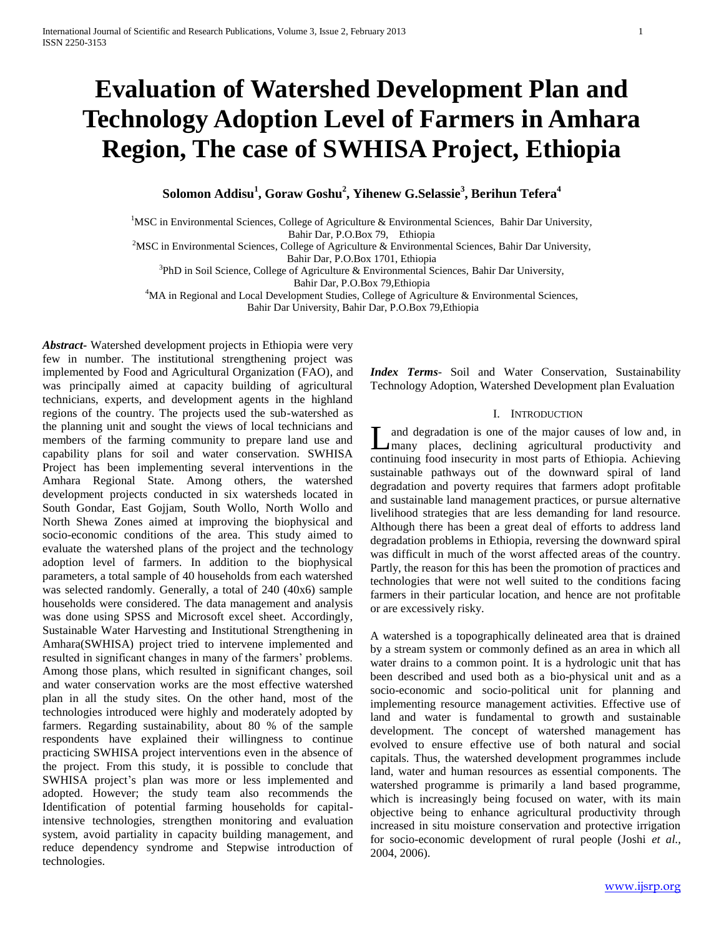# **Evaluation of Watershed Development Plan and Technology Adoption Level of Farmers in Amhara Region, The case of SWHISA Project, Ethiopia**

**Solomon Addisu<sup>1</sup> , Goraw Goshu<sup>2</sup> , Yihenew G.Selassie<sup>3</sup> , Berihun Tefera<sup>4</sup>**

<sup>1</sup>MSC in Environmental Sciences, College of Agriculture & Environmental Sciences, Bahir Dar University, Bahir Dar, P.O.Box 79, Ethiopia

<sup>2</sup>MSC in Environmental Sciences, College of Agriculture & Environmental Sciences, Bahir Dar University,

Bahir Dar, P.O.Box 1701, Ethiopia

<sup>3</sup>PhD in Soil Science, College of Agriculture & Environmental Sciences, Bahir Dar University,

Bahir Dar, P.O.Box 79,Ethiopia

<sup>4</sup>MA in Regional and Local Development Studies, College of Agriculture & Environmental Sciences,

Bahir Dar University, Bahir Dar, P.O.Box 79,Ethiopia

*Abstract***-** Watershed development projects in Ethiopia were very few in number. The institutional strengthening project was implemented by Food and Agricultural Organization (FAO), and was principally aimed at capacity building of agricultural technicians, experts, and development agents in the highland regions of the country. The projects used the sub-watershed as the planning unit and sought the views of local technicians and members of the farming community to prepare land use and capability plans for soil and water conservation. SWHISA Project has been implementing several interventions in the Amhara Regional State. Among others, the watershed development projects conducted in six watersheds located in South Gondar, East Gojjam, South Wollo, North Wollo and North Shewa Zones aimed at improving the biophysical and socio-economic conditions of the area. This study aimed to evaluate the watershed plans of the project and the technology adoption level of farmers. In addition to the biophysical parameters, a total sample of 40 households from each watershed was selected randomly. Generally, a total of 240 (40x6) sample households were considered. The data management and analysis was done using SPSS and Microsoft excel sheet. Accordingly, Sustainable Water Harvesting and Institutional Strengthening in Amhara(SWHISA) project tried to intervene implemented and resulted in significant changes in many of the farmers' problems. Among those plans, which resulted in significant changes, soil and water conservation works are the most effective watershed plan in all the study sites. On the other hand, most of the technologies introduced were highly and moderately adopted by farmers. Regarding sustainability, about 80 % of the sample respondents have explained their willingness to continue practicing SWHISA project interventions even in the absence of the project. From this study, it is possible to conclude that SWHISA project's plan was more or less implemented and adopted. However; the study team also recommends the Identification of potential farming households for capitalintensive technologies, strengthen monitoring and evaluation system, avoid partiality in capacity building management, and reduce dependency syndrome and Stepwise introduction of technologies.

*Index Terms*- Soil and Water Conservation, Sustainability Technology Adoption, Watershed Development plan Evaluation

### I. INTRODUCTION

**L** and degradation is one of the major causes of low and, in many places, declining agricultural productivity and many places, declining agricultural productivity and continuing food insecurity in most parts of Ethiopia. Achieving sustainable pathways out of the downward spiral of land degradation and poverty requires that farmers adopt profitable and sustainable land management practices, or pursue alternative livelihood strategies that are less demanding for land resource. Although there has been a great deal of efforts to address land degradation problems in Ethiopia, reversing the downward spiral was difficult in much of the worst affected areas of the country. Partly, the reason for this has been the promotion of practices and technologies that were not well suited to the conditions facing farmers in their particular location, and hence are not profitable or are excessively risky.

A watershed is a topographically delineated area that is drained by a stream system or commonly defined as an area in which all water drains to a common point. It is a hydrologic unit that has been described and used both as a bio-physical unit and as a socio-economic and socio-political unit for planning and implementing resource management activities. Effective use of land and water is fundamental to growth and sustainable development. The concept of watershed management has evolved to ensure effective use of both natural and social capitals. Thus, the watershed development programmes include land, water and human resources as essential components. The watershed programme is primarily a land based programme, which is increasingly being focused on water, with its main objective being to enhance agricultural productivity through increased in situ moisture conservation and protective irrigation for socio-economic development of rural people (Joshi *et al.,* 2004, 2006).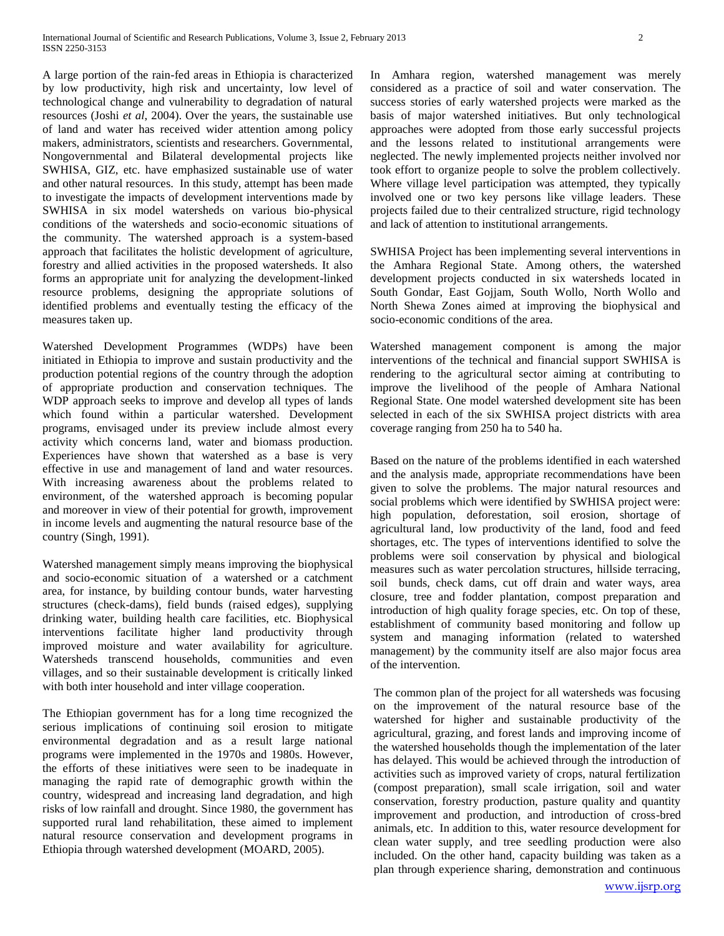A large portion of the rain-fed areas in Ethiopia is characterized by low productivity, high risk and uncertainty, low level of technological change and vulnerability to degradation of natural resources (Joshi *et al*, 2004). Over the years, the sustainable use of land and water has received wider attention among policy makers, administrators, scientists and researchers. Governmental, Nongovernmental and Bilateral developmental projects like SWHISA, GIZ, etc. have emphasized sustainable use of water and other natural resources. In this study, attempt has been made to investigate the impacts of development interventions made by SWHISA in six model watersheds on various bio-physical conditions of the watersheds and socio-economic situations of the community. The watershed approach is a system-based approach that facilitates the holistic development of agriculture, forestry and allied activities in the proposed watersheds. It also forms an appropriate unit for analyzing the development-linked resource problems, designing the appropriate solutions of identified problems and eventually testing the efficacy of the measures taken up.

Watershed Development Programmes (WDPs) have been initiated in Ethiopia to improve and sustain productivity and the production potential regions of the country through the adoption of appropriate production and conservation techniques. The WDP approach seeks to improve and develop all types of lands which found within a particular watershed. Development programs, envisaged under its preview include almost every activity which concerns land, water and biomass production. Experiences have shown that watershed as a base is very effective in use and management of land and water resources. With increasing awareness about the problems related to environment, of the watershed approach is becoming popular and moreover in view of their potential for growth, improvement in income levels and augmenting the natural resource base of the country (Singh, 1991).

Watershed management simply means improving the biophysical and socio-economic situation of a watershed or a catchment area, for instance, by building contour bunds, water harvesting structures (check-dams), field bunds (raised edges), supplying drinking water, building health care facilities, etc. Biophysical interventions facilitate higher land productivity through improved moisture and water availability for agriculture. Watersheds transcend households, communities and even villages, and so their sustainable development is critically linked with both inter household and inter village cooperation.

The Ethiopian government has for a long time recognized the serious implications of continuing soil erosion to mitigate environmental degradation and as a result large national programs were implemented in the 1970s and 1980s. However, the efforts of these initiatives were seen to be inadequate in managing the rapid rate of demographic growth within the country, widespread and increasing land degradation, and high risks of low rainfall and drought. Since 1980, the government has supported rural land rehabilitation, these aimed to implement natural resource conservation and development programs in Ethiopia through watershed development (MOARD, 2005).

In Amhara region, watershed management was merely considered as a practice of soil and water conservation. The success stories of early watershed projects were marked as the basis of major watershed initiatives. But only technological approaches were adopted from those early successful projects and the lessons related to institutional arrangements were neglected. The newly implemented projects neither involved nor took effort to organize people to solve the problem collectively. Where village level participation was attempted, they typically involved one or two key persons like village leaders. These projects failed due to their centralized structure, rigid technology and lack of attention to institutional arrangements.

SWHISA Project has been implementing several interventions in the Amhara Regional State. Among others, the watershed development projects conducted in six watersheds located in South Gondar, East Gojjam, South Wollo, North Wollo and North Shewa Zones aimed at improving the biophysical and socio-economic conditions of the area.

Watershed management component is among the major interventions of the technical and financial support SWHISA is rendering to the agricultural sector aiming at contributing to improve the livelihood of the people of Amhara National Regional State. One model watershed development site has been selected in each of the six SWHISA project districts with area coverage ranging from 250 ha to 540 ha.

Based on the nature of the problems identified in each watershed and the analysis made, appropriate recommendations have been given to solve the problems. The major natural resources and social problems which were identified by SWHISA project were: high population, deforestation, soil erosion, shortage of agricultural land, low productivity of the land, food and feed shortages, etc. The types of interventions identified to solve the problems were soil conservation by physical and biological measures such as water percolation structures, hillside terracing, soil bunds, check dams, cut off drain and water ways, area closure, tree and fodder plantation, compost preparation and introduction of high quality forage species, etc. On top of these, establishment of community based monitoring and follow up system and managing information (related to watershed management) by the community itself are also major focus area of the intervention.

The common plan of the project for all watersheds was focusing on the improvement of the natural resource base of the watershed for higher and sustainable productivity of the agricultural, grazing, and forest lands and improving income of the watershed households though the implementation of the later has delayed. This would be achieved through the introduction of activities such as improved variety of crops, natural fertilization (compost preparation), small scale irrigation, soil and water conservation, forestry production, pasture quality and quantity improvement and production, and introduction of cross-bred animals, etc. In addition to this, water resource development for clean water supply, and tree seedling production were also included. On the other hand, capacity building was taken as a plan through experience sharing, demonstration and continuous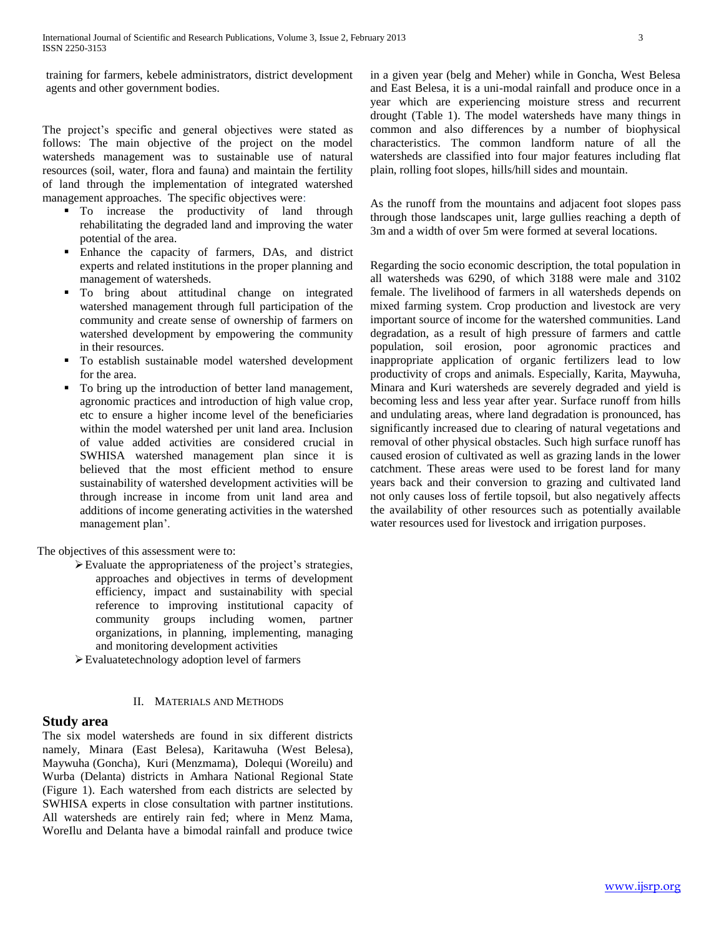training for farmers, kebele administrators, district development agents and other government bodies.

The project's specific and general objectives were stated as follows: The main objective of the project on the model watersheds management was to sustainable use of natural resources (soil, water, flora and fauna) and maintain the fertility of land through the implementation of integrated watershed management approaches. The specific objectives were:

- $\blacksquare$  To increase the productivity of land through rehabilitating the degraded land and improving the water potential of the area.
- Enhance the capacity of farmers, DAs, and district experts and related institutions in the proper planning and management of watersheds.
- To bring about attitudinal change on integrated watershed management through full participation of the community and create sense of ownership of farmers on watershed development by empowering the community in their resources.
- To establish sustainable model watershed development for the area.
- To bring up the introduction of better land management, agronomic practices and introduction of high value crop, etc to ensure a higher income level of the beneficiaries within the model watershed per unit land area. Inclusion of value added activities are considered crucial in SWHISA watershed management plan since it is believed that the most efficient method to ensure sustainability of watershed development activities will be through increase in income from unit land area and additions of income generating activities in the watershed management plan'.

The objectives of this assessment were to:

- Evaluate the appropriateness of the project's strategies, approaches and objectives in terms of development efficiency, impact and sustainability with special reference to improving institutional capacity of community groups including women, partner organizations, in planning, implementing, managing and monitoring development activities
- Evaluatetechnology adoption level of farmers

## II. MATERIALS AND METHODS

# **Study area**

The six model watersheds are found in six different districts namely, Minara (East Belesa), Karitawuha (West Belesa), Maywuha (Goncha), Kuri (Menzmama), Dolequi (Woreilu) and Wurba (Delanta) districts in Amhara National Regional State (Figure 1). Each watershed from each districts are selected by SWHISA experts in close consultation with partner institutions. All watersheds are entirely rain fed; where in Menz Mama, WoreIlu and Delanta have a bimodal rainfall and produce twice

in a given year (belg and Meher) while in Goncha, West Belesa and East Belesa, it is a uni-modal rainfall and produce once in a year which are experiencing moisture stress and recurrent drought (Table 1). The model watersheds have many things in common and also differences by a number of biophysical characteristics. The common landform nature of all the watersheds are classified into four major features including flat plain, rolling foot slopes, hills/hill sides and mountain.

As the runoff from the mountains and adjacent foot slopes pass through those landscapes unit, large gullies reaching a depth of 3m and a width of over 5m were formed at several locations.

Regarding the socio economic description, the total population in all watersheds was 6290, of which 3188 were male and 3102 female. The livelihood of farmers in all watersheds depends on mixed farming system. Crop production and livestock are very important source of income for the watershed communities. Land degradation, as a result of high pressure of farmers and cattle population, soil erosion, poor agronomic practices and inappropriate application of organic fertilizers lead to low productivity of crops and animals. Especially, Karita, Maywuha, Minara and Kuri watersheds are severely degraded and yield is becoming less and less year after year. Surface runoff from hills and undulating areas, where land degradation is pronounced, has significantly increased due to clearing of natural vegetations and removal of other physical obstacles. Such high surface runoff has caused erosion of cultivated as well as grazing lands in the lower catchment. These areas were used to be forest land for many years back and their conversion to grazing and cultivated land not only causes loss of fertile topsoil, but also negatively affects the availability of other resources such as potentially available water resources used for livestock and irrigation purposes.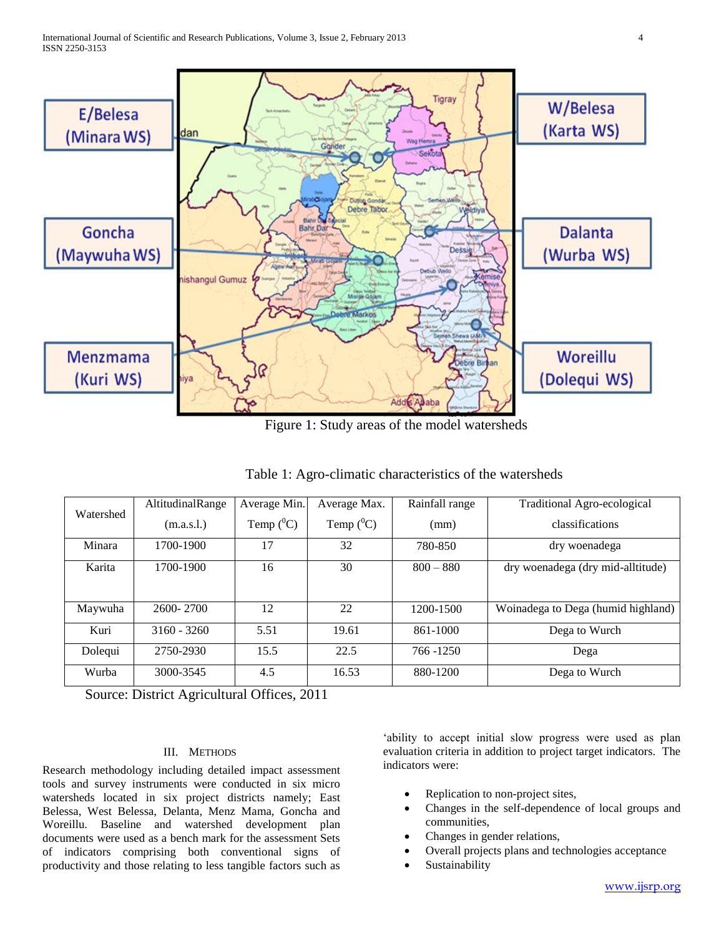

Figure 1: Study areas of the model watersheds

Table 1: Agro-climatic characteristics of the watersheds

| Watershed | AltitudinalRange | Average Min. | Average Max. | Rainfall range | Traditional Agro-ecological        |
|-----------|------------------|--------------|--------------|----------------|------------------------------------|
|           | (m.a.s.l.)       | Temp $(^0C)$ | Temp $(^0C)$ | (mm)           | classifications                    |
| Minara    | 1700-1900        | 17           | 32           | 780-850        | dry woenadega                      |
| Karita    | 1700-1900        | 16           | 30           | $800 - 880$    | dry woenadega (dry mid-alltitude)  |
|           |                  |              |              |                |                                    |
| Maywuha   | 2600-2700        | 12           | 22           | 1200-1500      | Woinadega to Dega (humid highland) |
| Kuri      | $3160 - 3260$    | 5.51         | 19.61        | 861-1000       | Dega to Wurch                      |
| Dolegui   | 2750-2930        | 15.5         | 22.5         | 766 - 1250     | Dega                               |
| Wurba     | 3000-3545        | 4.5          | 16.53        | 880-1200       | Dega to Wurch                      |

Source: District Agricultural Offices, 2011

## III. METHODS

Research methodology including detailed impact assessment tools and survey instruments were conducted in six micro watersheds located in six project districts namely; East Belessa, West Belessa, Delanta, Menz Mama, Goncha and Woreillu. Baseline and watershed development plan documents were used as a bench mark for the assessment Sets of indicators comprising both conventional signs of productivity and those relating to less tangible factors such as 'ability to accept initial slow progress were used as plan evaluation criteria in addition to project target indicators. The indicators were:

- Replication to non-project sites,
- Changes in the self-dependence of local groups and communities,
- Changes in gender relations,
- Overall projects plans and technologies acceptance
- Sustainability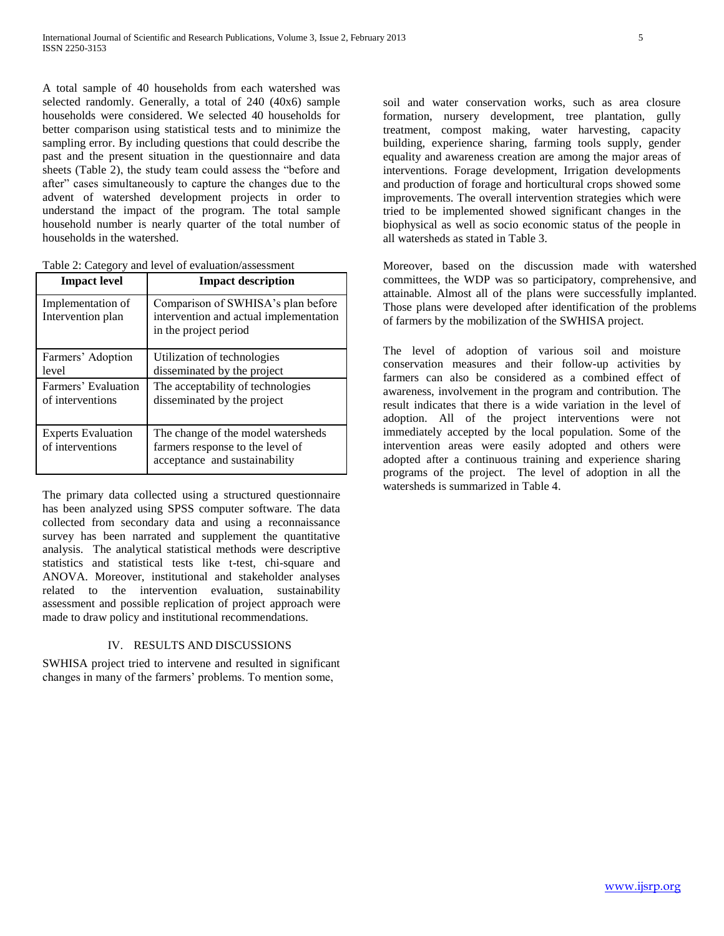A total sample of 40 households from each watershed was selected randomly. Generally, a total of 240 (40x6) sample households were considered. We selected 40 households for better comparison using statistical tests and to minimize the sampling error. By including questions that could describe the past and the present situation in the questionnaire and data sheets (Table 2), the study team could assess the "before and after" cases simultaneously to capture the changes due to the advent of watershed development projects in order to understand the impact of the program. The total sample household number is nearly quarter of the total number of households in the watershed.

| Table 2: Category and level of evaluation/assessment |
|------------------------------------------------------|
|------------------------------------------------------|

| <b>Impact level</b>                           | <b>Impact description</b>                                                                               |
|-----------------------------------------------|---------------------------------------------------------------------------------------------------------|
| Implementation of<br>Intervention plan        | Comparison of SWHISA's plan before<br>intervention and actual implementation<br>in the project period   |
| Farmers' Adoption<br>level                    | Utilization of technologies<br>disseminated by the project                                              |
| Farmers' Evaluation<br>of interventions       | The acceptability of technologies<br>disseminated by the project                                        |
| <b>Experts Evaluation</b><br>of interventions | The change of the model watersheds<br>farmers response to the level of<br>acceptance and sustainability |

The primary data collected using a structured questionnaire has been analyzed using SPSS computer software. The data collected from secondary data and using a reconnaissance survey has been narrated and supplement the quantitative analysis. The analytical statistical methods were descriptive statistics and statistical tests like t-test, chi-square and ANOVA. Moreover, institutional and stakeholder analyses related to the intervention evaluation, sustainability assessment and possible replication of project approach were made to draw policy and institutional recommendations.

# IV. RESULTS AND DISCUSSIONS

SWHISA project tried to intervene and resulted in significant changes in many of the farmers' problems. To mention some,

soil and water conservation works, such as area closure formation, nursery development, tree plantation, gully treatment, compost making, water harvesting, capacity building, experience sharing, farming tools supply, gender equality and awareness creation are among the major areas of interventions. Forage development, Irrigation developments and production of forage and horticultural crops showed some improvements. The overall intervention strategies which were tried to be implemented showed significant changes in the biophysical as well as socio economic status of the people in all watersheds as stated in Table 3.

Moreover, based on the discussion made with watershed committees, the WDP was so participatory, comprehensive, and attainable. Almost all of the plans were successfully implanted. Those plans were developed after identification of the problems of farmers by the mobilization of the SWHISA project.

The level of adoption of various soil and moisture conservation measures and their follow-up activities by farmers can also be considered as a combined effect of awareness, involvement in the program and contribution. The result indicates that there is a wide variation in the level of adoption. All of the project interventions were not immediately accepted by the local population. Some of the intervention areas were easily adopted and others were adopted after a continuous training and experience sharing programs of the project. The level of adoption in all the watersheds is summarized in Table 4.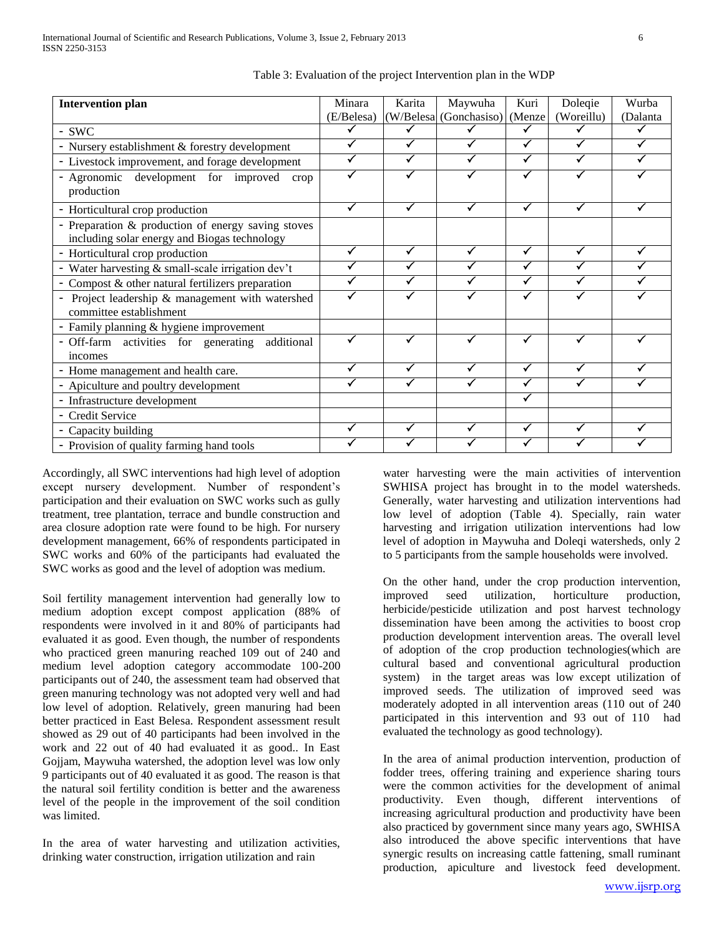| <b>Intervention plan</b>                                                                           | Minara     | Karita | Maywuha                | Kuri         | Dolegie    | Wurba    |
|----------------------------------------------------------------------------------------------------|------------|--------|------------------------|--------------|------------|----------|
|                                                                                                    | (E/Belesa) |        | (W/Belesa (Gonchasiso) | (Menze       | (Woreillu) | (Dalanta |
| - SWC                                                                                              |            |        |                        | ✓            |            |          |
| - Nursery establishment & forestry development                                                     |            | ✓      |                        | ✓            | ✓          |          |
| - Livestock improvement, and forage development                                                    |            | ✓      |                        | $\checkmark$ | ✓          |          |
| - Agronomic development for improved<br>crop<br>production                                         |            |        |                        | ✓            |            |          |
| - Horticultural crop production                                                                    | ✓          | ✓      | ✓                      | $\checkmark$ | ✓          |          |
| - Preparation & production of energy saving stoves<br>including solar energy and Biogas technology |            |        |                        |              |            |          |
| - Horticultural crop production                                                                    |            | ✓      | ✓                      | $\checkmark$ | ✓          |          |
| - Water harvesting & small-scale irrigation dev't                                                  |            |        |                        | $\checkmark$ | ✓          |          |
| - Compost & other natural fertilizers preparation                                                  |            |        |                        | $\checkmark$ | ✓          |          |
| - Project leadership & management with watershed<br>committee establishment                        |            |        |                        | ✓            |            |          |
| - Family planning & hygiene improvement                                                            |            |        |                        |              |            |          |
| - Off-farm activities for generating additional<br>incomes                                         |            |        |                        |              |            |          |
| - Home management and health care.                                                                 |            |        | √                      | $\checkmark$ | ✓          |          |
| - Apiculture and poultry development                                                               | ✓          | ✓      | √                      | $\checkmark$ | ✓          |          |
| - Infrastructure development                                                                       |            |        |                        | ✓            |            |          |
| - Credit Service                                                                                   |            |        |                        |              |            |          |
| - Capacity building                                                                                |            |        | ✓                      | $\checkmark$ |            |          |
| - Provision of quality farming hand tools                                                          |            |        |                        |              |            |          |

|  |  | Table 3: Evaluation of the project Intervention plan in the WDP |  |  |
|--|--|-----------------------------------------------------------------|--|--|
|  |  |                                                                 |  |  |

Accordingly, all SWC interventions had high level of adoption except nursery development. Number of respondent's participation and their evaluation on SWC works such as gully treatment, tree plantation, terrace and bundle construction and area closure adoption rate were found to be high. For nursery development management, 66% of respondents participated in SWC works and 60% of the participants had evaluated the SWC works as good and the level of adoption was medium.

Soil fertility management intervention had generally low to medium adoption except compost application (88% of respondents were involved in it and 80% of participants had evaluated it as good. Even though, the number of respondents who practiced green manuring reached 109 out of 240 and medium level adoption category accommodate 100-200 participants out of 240, the assessment team had observed that green manuring technology was not adopted very well and had low level of adoption. Relatively, green manuring had been better practiced in East Belesa. Respondent assessment result showed as 29 out of 40 participants had been involved in the work and 22 out of 40 had evaluated it as good.. In East Gojjam, Maywuha watershed, the adoption level was low only 9 participants out of 40 evaluated it as good. The reason is that the natural soil fertility condition is better and the awareness level of the people in the improvement of the soil condition was limited.

In the area of water harvesting and utilization activities, drinking water construction, irrigation utilization and rain

water harvesting were the main activities of intervention SWHISA project has brought in to the model watersheds. Generally, water harvesting and utilization interventions had low level of adoption (Table 4). Specially, rain water harvesting and irrigation utilization interventions had low level of adoption in Maywuha and Doleqi watersheds, only 2 to 5 participants from the sample households were involved.

On the other hand, under the crop production intervention, improved seed utilization, horticulture production, herbicide/pesticide utilization and post harvest technology dissemination have been among the activities to boost crop production development intervention areas. The overall level of adoption of the crop production technologies(which are cultural based and conventional agricultural production system) in the target areas was low except utilization of improved seeds. The utilization of improved seed was moderately adopted in all intervention areas (110 out of 240 participated in this intervention and 93 out of 110 had evaluated the technology as good technology).

In the area of animal production intervention, production of fodder trees, offering training and experience sharing tours were the common activities for the development of animal productivity. Even though, different interventions of increasing agricultural production and productivity have been also practiced by government since many years ago, SWHISA also introduced the above specific interventions that have synergic results on increasing cattle fattening, small ruminant production, apiculture and livestock feed development.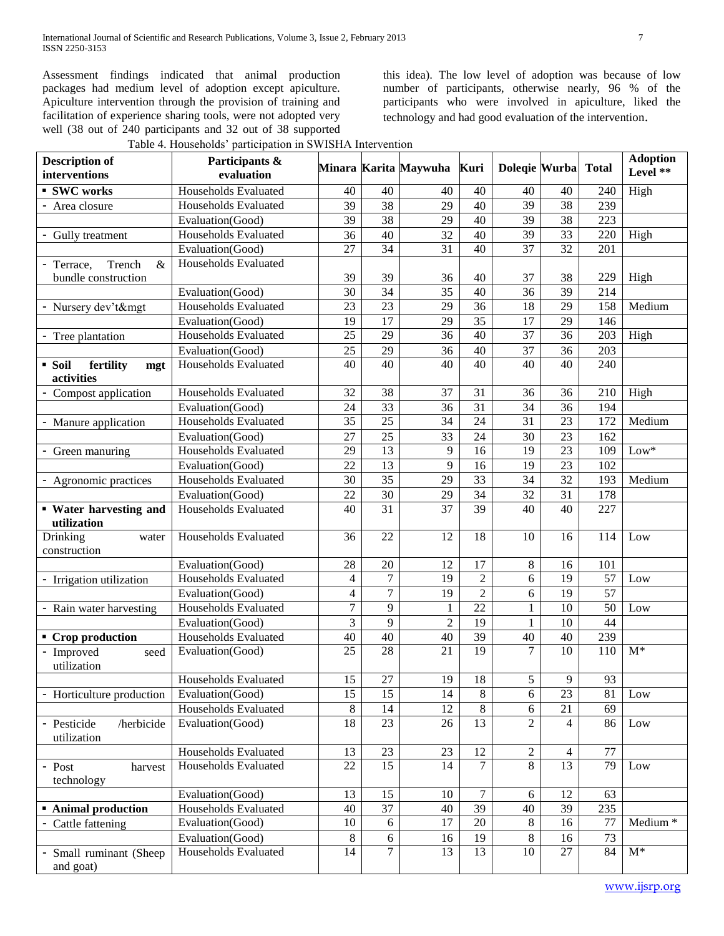Assessment findings indicated that animal production packages had medium level of adoption except apiculture. Apiculture intervention through the provision of training and facilitation of experience sharing tools, were not adopted very well (38 out of 240 participants and 32 out of 38 supported

this idea). The low level of adoption was because of low number of participants, otherwise nearly, 96 % of the participants who were involved in apiculture, liked the technology and had good evaluation of the intervention.

| Table 4. Households' participation in SWISHA Intervention |  |  |  |
|-----------------------------------------------------------|--|--|--|
|-----------------------------------------------------------|--|--|--|

| <b>Description of</b><br>interventions   | Participants &<br>evaluation |                |                 | Minara Karita Maywuha | Kuri            | Dolegie Wurba    |                 | <b>Total</b>    | <b>Adoption</b><br>Level ** |
|------------------------------------------|------------------------------|----------------|-----------------|-----------------------|-----------------|------------------|-----------------|-----------------|-----------------------------|
| <b>SWC</b> works                         | Households Evaluated         | 40             | 40              | 40                    | 40              | 40               | 40              | 240             | High                        |
| - Area closure                           | Households Evaluated         | 39             | 38              | 29                    | 40              | 39               | 38              | 239             |                             |
|                                          | Evaluation(Good)             | 39             | 38              | 29                    | 40              | 39               | 38              | 223             |                             |
| - Gully treatment                        | Households Evaluated         | 36             | 40              | 32                    | 40              | 39               | 33              | 220             | High                        |
|                                          | Evaluation(Good)             | 27             | 34              | 31                    | 40              | 37               | 32              | 201             |                             |
| Trench<br>- Terrace,<br>$\&$             | Households Evaluated         |                |                 |                       |                 |                  |                 |                 |                             |
| bundle construction                      |                              | 39             | 39              | 36                    | 40              | 37               | 38              | 229             | High                        |
|                                          | Evaluation(Good)             | 30             | 34              | 35                    | 40              | 36               | $\overline{39}$ | 214             |                             |
| - Nursery dev't&mgt                      | Households Evaluated         | 23             | 23              | 29                    | 36              | 18               | 29              | 158             | Medium                      |
|                                          | Evaluation(Good)             | 19             | 17              | 29                    | 35              | 17               | 29              | 146             |                             |
| - Tree plantation                        | Households Evaluated         | 25             | 29              | 36                    | 40              | 37               | 36              | 203             | High                        |
|                                          | Evaluation(Good)             | 25             | 29              | 36                    | 40              | 37               | 36              | 203             |                             |
| fertility<br>• Soil<br>mgt<br>activities | Households Evaluated         | 40             | 40              | 40                    | 40              | 40               | 40              | 240             |                             |
| - Compost application                    | Households Evaluated         | 32             | $\overline{38}$ | 37                    | $\overline{31}$ | 36               | 36              | 210             | High                        |
|                                          | Evaluation(Good)             | 24             | 33              | 36                    | 31              | 34               | 36              | 194             |                             |
| - Manure application                     | Households Evaluated         | 35             | 25              | 34                    | 24              | 31               | $\overline{23}$ | 172             | Medium                      |
|                                          | Evaluation(Good)             | 27             | 25              | 33                    | 24              | 30               | 23              | 162             |                             |
| - Green manuring                         | Households Evaluated         | 29             | 13              | 9                     | 16              | 19               | 23              | 109             | $Low*$                      |
|                                          | Evaluation(Good)             | 22             | 13              | 9                     | 16              | 19               | 23              | 102             |                             |
| - Agronomic practices                    | Households Evaluated         | 30             | 35              | 29                    | $\overline{33}$ | 34               | $\overline{32}$ | 193             | Medium                      |
|                                          | Evaluation(Good)             | 22             | 30              | 29                    | 34              | 32               | 31              | 178             |                             |
| • Water harvesting and<br>utilization    | Households Evaluated         | 40             | 31              | 37                    | 39              | 40               | 40              | 227             |                             |
| Drinking<br>water<br>construction        | Households Evaluated         | 36             | 22              | 12                    | 18              | 10               | 16              | 114             | Low                         |
|                                          | Evaluation(Good)             | 28             | $20\,$          | 12                    | 17              | 8                | 16              | 101             |                             |
| - Irrigation utilization                 | Households Evaluated         | $\overline{4}$ | $\tau$          | 19                    | $\overline{2}$  | 6                | 19              | 57              | Low                         |
|                                          | Evaluation(Good)             | $\overline{4}$ | $\tau$          | 19                    | $\overline{2}$  | 6                | 19              | 57              |                             |
| - Rain water harvesting                  | Households Evaluated         | $\tau$         | 9               | $\mathbf{1}$          | $\overline{22}$ | $\mathbf{1}$     | 10              | 50              | Low                         |
|                                          | Evaluation(Good)             | $\overline{3}$ | 9               | $\overline{2}$        | $\overline{19}$ | $\mathbf{1}$     | $\overline{10}$ | 44              |                             |
| • Crop production                        | Households Evaluated         | 40             | 40              | 40                    | 39              | 40               | 40              | 239             |                             |
| - Improved<br>seed<br>utilization        | Evaluation(Good)             | 25             | 28              | $\overline{21}$       | 19              | $\overline{7}$   | $\overline{10}$ | 110             | $M^*$                       |
|                                          | Households Evaluated         | 15             | $27\,$          | 19                    | $18\,$          | 5                | 9               | 93              |                             |
| - Horticulture production                | Evaluation(Good)             | 15             | 15              | 14                    | 8               | 6                | 23              | 81              | Low                         |
|                                          | Households Evaluated         | $\,8\,$        | 14              | 12                    | $8\,$           | 6                | 21              | 69              |                             |
| /herbicide<br>- Pesticide<br>utilization | Evaluation(Good)             | 18             | 23              | 26                    | 13              | $\overline{2}$   | 4               | 86              | Low                         |
|                                          | Households Evaluated         | 13             | 23              | 23                    | 12              | $\boldsymbol{2}$ | 4               | 77              |                             |
| harvest<br>- Post<br>technology          | Households Evaluated         | 22             | 15              | 14                    | 7               | 8                | $\overline{13}$ | $\overline{79}$ | Low                         |
|                                          | Evaluation(Good)             | 13             | 15              | 10                    | 7               | 6                | 12              | 63              |                             |
| <b>Animal production</b>                 | Households Evaluated         | 40             | 37              | 40                    | 39              | 40               | 39              | 235             |                             |
| - Cattle fattening                       | Evaluation(Good)             | 10             | 6               | 17                    | $20\,$          | 8                | 16              | 77              | Medium <sup>*</sup>         |
|                                          | Evaluation(Good)             | $\,8\,$        | 6               | 16                    | 19              | 8                | 16              | 73              |                             |
| - Small ruminant (Sheep<br>and goat)     | Households Evaluated         | 14             | $\tau$          | 13                    | 13              | 10               | 27              | 84              | $M^*$                       |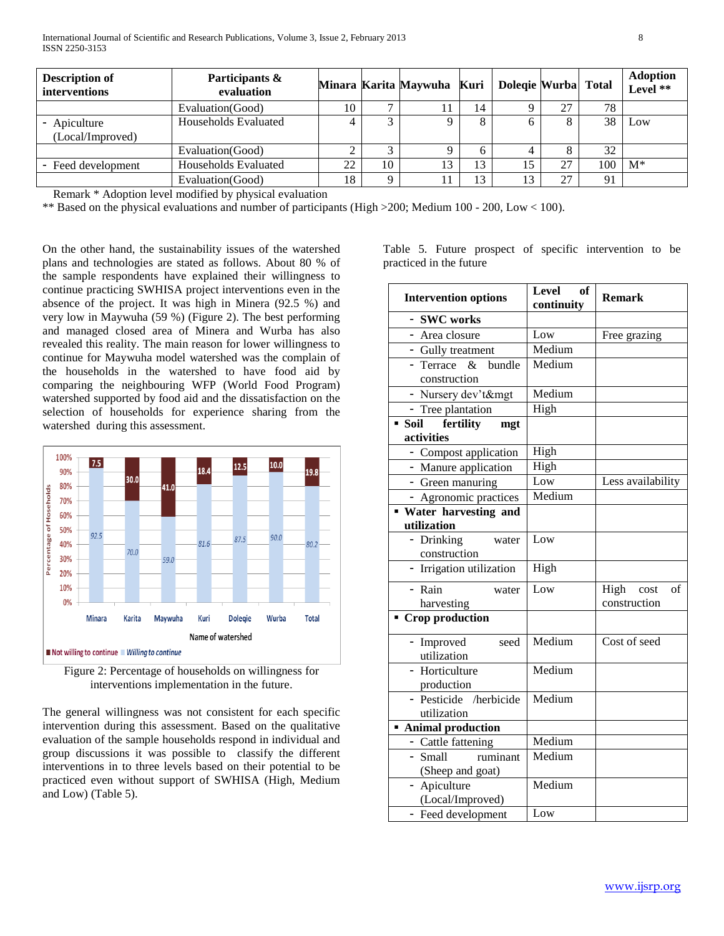| <b>Description of</b><br>interventions | Participants &<br>evaluation |    |                | Minara Karita Maywuha Kuri |    | Dolegie Wurba Total |                    |      | <b>Adoption</b><br>Level ** |
|----------------------------------------|------------------------------|----|----------------|----------------------------|----|---------------------|--------------------|------|-----------------------------|
|                                        | Evaluation (Good)            | 10 | $\overline{ }$ |                            | 14 |                     | 27                 | 78   |                             |
| - Apiculture<br>(Local/Improved)       | Households Evaluated         |    |                |                            |    |                     |                    | 38   | Low                         |
|                                        | Evaluation (Good)            |    |                |                            |    |                     |                    | 32   |                             |
| - Feed development                     | Households Evaluated         | 22 | 10             |                            | 13 | 15                  | 27                 | 100- | $M^*$                       |
|                                        | Evaluation(Good)             | 18 |                |                            | 13 | 13                  | $\mathcal{L}$<br>∠ | 91   |                             |

Remark \* Adoption level modified by physical evaluation

\*\* Based on the physical evaluations and number of participants (High >200; Medium 100 - 200, Low < 100).

On the other hand, the sustainability issues of the watershed plans and technologies are stated as follows. About 80 % of the sample respondents have explained their willingness to continue practicing SWHISA project interventions even in the absence of the project. It was high in Minera (92.5 %) and very low in Maywuha (59 %) (Figure 2). The best performing and managed closed area of Minera and Wurba has also revealed this reality. The main reason for lower willingness to continue for Maywuha model watershed was the complain of the households in the watershed to have food aid by comparing the neighbouring WFP (World Food Program) watershed supported by food aid and the dissatisfaction on the selection of households for experience sharing from the watershed during this assessment.



Figure 2: Percentage of households on willingness for interventions implementation in the future.

The general willingness was not consistent for each specific intervention during this assessment. Based on the qualitative evaluation of the sample households respond in individual and group discussions it was possible to classify the different interventions in to three levels based on their potential to be practiced even without support of SWHISA (High, Medium and Low) (Table 5).

Table 5. Future prospect of specific intervention to be practiced in the future

| <b>Intervention options</b>                | <b>Level</b><br>of<br>continuity | <b>Remark</b>                      |
|--------------------------------------------|----------------------------------|------------------------------------|
| - SWC works                                |                                  |                                    |
| - Area closure                             | Low                              | Free grazing                       |
| - Gully treatment                          | Medium                           |                                    |
| bundle<br>- Terrace<br>$\&$                | Medium                           |                                    |
| construction                               |                                  |                                    |
| - Nursery dev't&mgt                        | Medium                           |                                    |
| - Tree plantation                          | High                             |                                    |
| fertility<br>Soil<br>mgt<br>activities     |                                  |                                    |
| - Compost application                      | High                             |                                    |
| - Manure application                       | High                             |                                    |
| - Green manuring                           | Low                              | Less availability                  |
| - Agronomic practices                      | Medium                           |                                    |
| <b>Water</b> harvesting and<br>utilization |                                  |                                    |
| - Drinking<br>water<br>construction        | Low                              |                                    |
| - Irrigation utilization                   | High                             |                                    |
| - Rain<br>water<br>harvesting              | Low                              | High<br>of<br>cost<br>construction |
| <b>Crop production</b>                     |                                  |                                    |
| - Improved<br>seed<br>utilization          | Medium                           | Cost of seed                       |
| - Horticulture<br>production               | Medium                           |                                    |
| - Pesticide /herbicide<br>utilization      | Medium                           |                                    |
| <b>Animal production</b>                   |                                  |                                    |
| - Cattle fattening                         | Medium                           |                                    |
| - Small<br>ruminant<br>(Sheep and goat)    | Medium                           |                                    |
| - Apiculture<br>(Local/Improved)           | Medium                           |                                    |
| - Feed development                         | Low                              |                                    |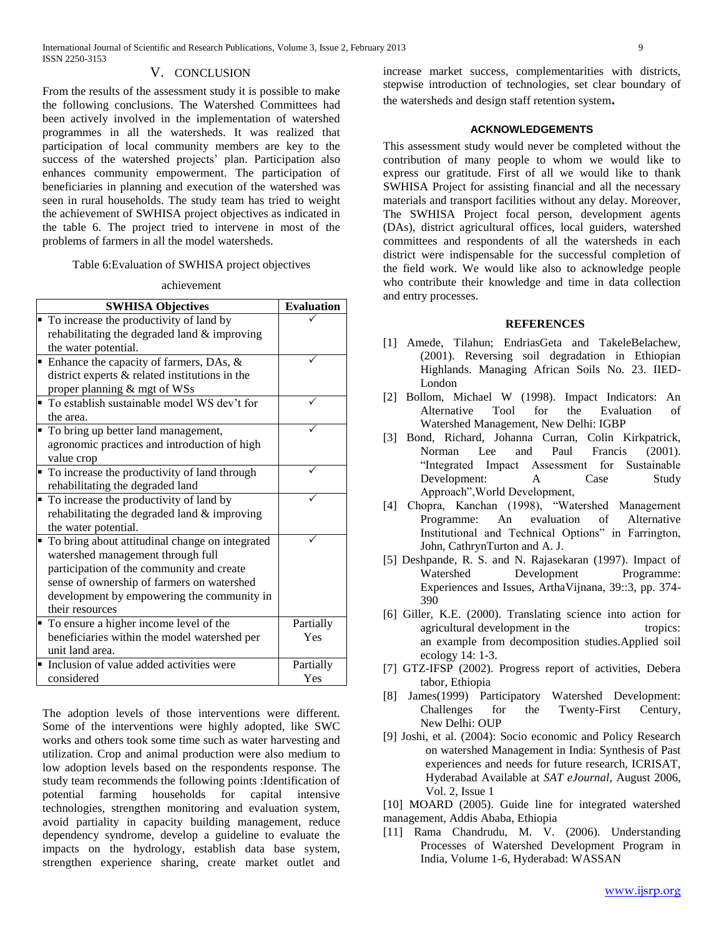## V. CONCLUSION

From the results of the assessment study it is possible to make the following conclusions. The Watershed Committees had been actively involved in the implementation of watershed programmes in all the watersheds. It was realized that participation of local community members are key to the success of the watershed projects' plan. Participation also enhances community empowerment. The participation of beneficiaries in planning and execution of the watershed was seen in rural households. The study team has tried to weight the achievement of SWHISA project objectives as indicated in the table 6. The project tried to intervene in most of the problems of farmers in all the model watersheds.

Table 6:Evaluation of SWHISA project objectives

### achievement

| <b>SWHISA Objectives</b>                          | <b>Evaluation</b> |
|---------------------------------------------------|-------------------|
| • To increase the productivity of land by         |                   |
| rehabilitating the degraded land & improving      |                   |
| the water potential.                              |                   |
| Enhance the capacity of farmers, DAs, $\&$        |                   |
| district experts $&$ related institutions in the  |                   |
| proper planning & mgt of WSs                      |                   |
| • To establish sustainable model WS dev't for     |                   |
| the area.                                         |                   |
| • To bring up better land management,             |                   |
| agronomic practices and introduction of high      |                   |
| value crop                                        |                   |
| • To increase the productivity of land through    |                   |
| rehabilitating the degraded land                  |                   |
| • To increase the productivity of land by         |                   |
| rehabilitating the degraded land & improving      |                   |
| the water potential.                              |                   |
| • To bring about attitudinal change on integrated |                   |
| watershed management through full                 |                   |
| participation of the community and create         |                   |
| sense of ownership of farmers on watershed        |                   |
| development by empowering the community in        |                   |
| their resources                                   |                   |
| • To ensure a higher income level of the          | Partially         |
| beneficiaries within the model watershed per      | Yes               |
| unit land area.                                   |                   |
| • Inclusion of value added activities were        | Partially         |
| considered                                        | Yes               |

The adoption levels of those interventions were different. Some of the interventions were highly adopted, like SWC works and others took some time such as water harvesting and utilization. Crop and animal production were also medium to low adoption levels based on the respondents response. The study team recommends the following points :Identification of potential farming households for capital intensive technologies, strengthen monitoring and evaluation system, avoid partiality in capacity building management, reduce dependency syndrome, develop a guideline to evaluate the impacts on the hydrology, establish data base system, strengthen experience sharing, create market outlet and

increase market success, complementarities with districts, stepwise introduction of technologies, set clear boundary of the watersheds and design staff retention system**.**

## **ACKNOWLEDGEMENTS**

This assessment study would never be completed without the contribution of many people to whom we would like to express our gratitude. First of all we would like to thank SWHISA Project for assisting financial and all the necessary materials and transport facilities without any delay. Moreover, The SWHISA Project focal person, development agents (DAs), district agricultural offices, local guiders, watershed committees and respondents of all the watersheds in each district were indispensable for the successful completion of the field work. We would like also to acknowledge people who contribute their knowledge and time in data collection and entry processes.

#### **REFERENCES**

- [1] Amede, Tilahun; EndriasGeta and TakeleBelachew, (2001). Reversing soil degradation in Ethiopian Highlands. Managing African Soils No. 23. IIED-London
- [2] Bollom, Michael W (1998). Impact Indicators: An Alternative Tool for the Evaluation of Watershed Management, New Delhi: IGBP
- [3] Bond, Richard, Johanna Curran, Colin Kirkpatrick, Norman Lee and Paul Francis (2001). "Integrated Impact Assessment for Sustainable Development: A Case Study Approach",World Development,
- [4] Chopra, Kanchan (1998), "Watershed Management Programme: An evaluation of Alternative Institutional and Technical Options" in Farrington, John, CathrynTurton and A. J.
- [5] Deshpande, R. S. and N. Rajasekaran (1997). Impact of Watershed Development Programme: Experiences and Issues, ArthaVijnana, 39::3, pp. 374- 390
- [6] Giller, K.E. (2000). Translating science into action for agricultural development in the tropics: an example from decomposition studies.Applied soil ecology 14: 1-3.
- [7] GTZ-IFSP (2002). Progress report of activities, Debera tabor, Ethiopia
- [8] James(1999) Participatory Watershed Development: Challenges for the Twenty-First Century, New Delhi: OUP
- [9] Joshi, et al. (2004): Socio economic and Policy Research on watershed Management in India: Synthesis of Past experiences and needs for future research, ICRISAT, Hyderabad Available at *SAT eJournal*, August 2006, Vol. 2, Issue 1

[10] MOARD (2005). Guide line for integrated watershed management, Addis Ababa, Ethiopia

[11] Rama Chandrudu, M. V. (2006). Understanding Processes of Watershed Development Program in India, Volume 1-6, Hyderabad: WASSAN